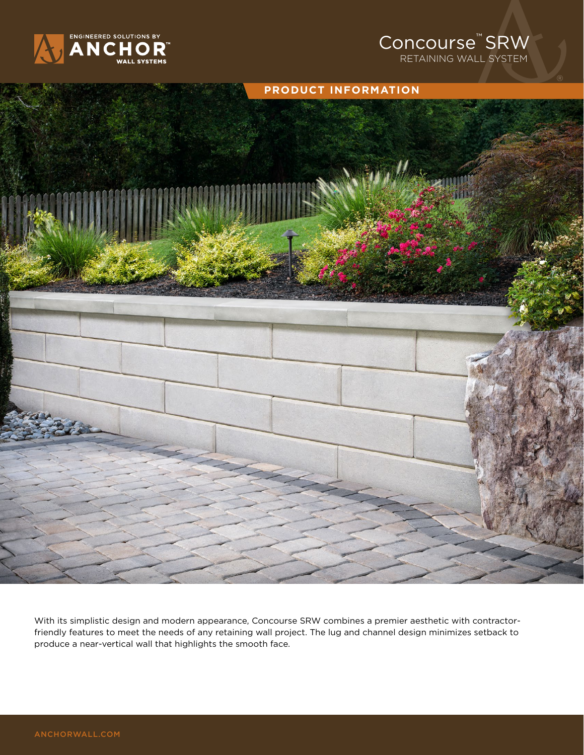

## Concourse<sup>™</sup> SRW RETAINING WALL SYSTEM



With its simplistic design and modern appearance, Concourse SRW combines a premier aesthetic with contractorfriendly features to meet the needs of any retaining wall project. The lug and channel design minimizes setback to produce a near-vertical wall that highlights the smooth face.